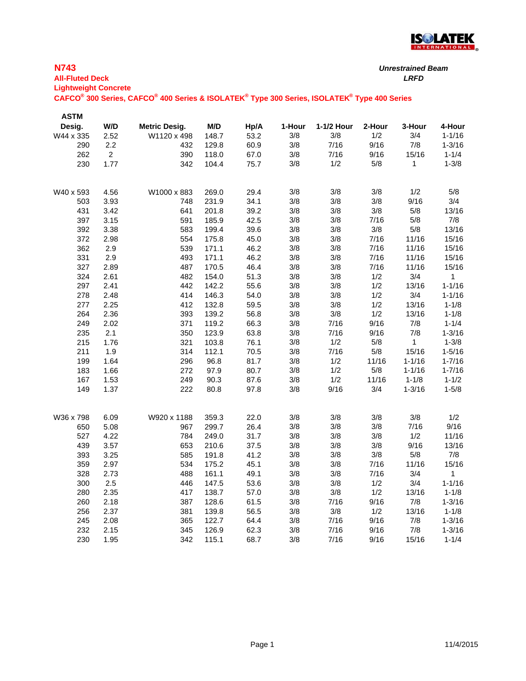

| <b>N743</b><br><b>All-Fluted Deck</b><br><b>Lightweight Concrete</b> |                |                                                                                             |              | <b>Unrestrained Beam</b> |            |              |                | <b>LRFD</b>             |                         |
|----------------------------------------------------------------------|----------------|---------------------------------------------------------------------------------------------|--------------|--------------------------|------------|--------------|----------------|-------------------------|-------------------------|
|                                                                      |                | CAFCO® 300 Series, CAFCO® 400 Series & ISOLATEK® Type 300 Series, ISOLATEK® Type 400 Series |              |                          |            |              |                |                         |                         |
| <b>ASTM</b>                                                          |                |                                                                                             |              |                          |            |              |                |                         |                         |
| Desig.                                                               | W/D            | <b>Metric Desig.</b>                                                                        | M/D          | Hp/A                     | 1-Hour     | 1-1/2 Hour   | 2-Hour         | 3-Hour                  | 4-Hour                  |
| W44 x 335                                                            | 2.52           | W1120 x 498                                                                                 | 148.7        | 53.2                     | 3/8        | 3/8          | 1/2            | 3/4                     | $1 - 1/16$              |
| 290                                                                  | 2.2            | 432                                                                                         | 129.8        | 60.9                     | 3/8        | 7/16         | 9/16           | 7/8                     | $1 - 3/16$              |
| 262                                                                  | $\overline{2}$ | 390                                                                                         | 118.0        | 67.0                     | 3/8        | 7/16         | 9/16           | 15/16                   | $1 - 1/4$               |
| 230                                                                  | 1.77           | 342                                                                                         | 104.4        | 75.7                     | 3/8        | 1/2          | 5/8            | 1                       | $1 - 3/8$               |
| W40 x 593                                                            | 4.56           | W1000 x 883                                                                                 | 269.0        | 29.4                     | 3/8        | 3/8          | 3/8            | 1/2                     | 5/8                     |
| 503                                                                  | 3.93           | 748                                                                                         | 231.9        | 34.1                     | 3/8        | 3/8          | 3/8            | 9/16                    | 3/4                     |
| 431                                                                  | 3.42           | 641                                                                                         | 201.8        | 39.2                     | 3/8        | 3/8          | 3/8            | 5/8                     | 13/16                   |
| 397                                                                  | 3.15           | 591                                                                                         | 185.9        | 42.5                     | 3/8        | 3/8          | 7/16           | 5/8                     | 7/8                     |
| 392                                                                  | 3.38           | 583                                                                                         | 199.4        | 39.6                     | 3/8        | 3/8          | 3/8            | $5/8$                   | 13/16                   |
| 372                                                                  | 2.98           | 554                                                                                         | 175.8        | 45.0                     | 3/8        | 3/8          | 7/16           | 11/16                   | 15/16                   |
| 362                                                                  | 2.9            | 539                                                                                         | 171.1        | 46.2                     | 3/8        | 3/8          | 7/16           | 11/16                   | 15/16                   |
| 331                                                                  | 2.9            | 493                                                                                         | 171.1        | 46.2                     | $3/8$      | 3/8          | 7/16           | 11/16                   | 15/16                   |
| 327                                                                  | 2.89           | 487                                                                                         | 170.5        | 46.4                     | 3/8        | 3/8          | 7/16           | 11/16                   | 15/16                   |
| 324                                                                  | 2.61           | 482                                                                                         | 154.0        | 51.3                     | 3/8        | 3/8          | 1/2            | 3/4                     | 1                       |
| 297                                                                  | 2.41           | 442                                                                                         | 142.2        | 55.6                     | 3/8        | 3/8          | 1/2            | 13/16                   | $1 - 1/16$              |
| 278                                                                  | 2.48           | 414                                                                                         | 146.3        | 54.0                     | 3/8        | 3/8          | 1/2            | 3/4                     | $1 - 1/16$              |
| 277                                                                  | 2.25           | 412                                                                                         | 132.8        | 59.5                     | 3/8        | 3/8          | 1/2            | 13/16                   | $1 - 1/8$               |
| 264                                                                  | 2.36           | 393                                                                                         | 139.2        | 56.8                     | 3/8        | 3/8          | 1/2            | 13/16                   | $1 - 1/8$               |
| 249                                                                  | 2.02           | 371                                                                                         | 119.2        | 66.3                     | 3/8        | 7/16         | 9/16           | 7/8                     | $1 - 1/4$               |
| 235                                                                  | 2.1            | 350                                                                                         | 123.9        | 63.8                     | 3/8        | 7/16         | 9/16           | 7/8                     | $1 - 3/16$              |
| 215                                                                  | 1.76           | 321                                                                                         | 103.8        | 76.1                     | 3/8        | 1/2          | 5/8            | $\mathbf{1}$            | $1 - 3/8$               |
| 211                                                                  | 1.9            | 314                                                                                         | 112.1        | 70.5                     | 3/8        | 7/16         | $5/8$          | 15/16                   | $1 - 5/16$              |
| 199                                                                  | 1.64           | 296                                                                                         | 96.8         | 81.7                     | 3/8        | 1/2          | 11/16<br>$5/8$ | $1 - 1/16$              | $1 - 7/16$              |
| 183<br>167                                                           | 1.66<br>1.53   | 272<br>249                                                                                  | 97.9<br>90.3 | 80.7<br>87.6             | 3/8<br>3/8 | 1/2<br>1/2   | 11/16          | $1 - 1/16$<br>$1 - 1/8$ | $1 - 7/16$<br>$1 - 1/2$ |
| 149                                                                  | 1.37           | 222                                                                                         | 80.8         | 97.8                     | 3/8        | 9/16         | 3/4            | $1 - 3/16$              | $1 - 5/8$               |
|                                                                      |                |                                                                                             |              |                          |            |              |                |                         |                         |
| W36 x 798                                                            | 6.09           | W920 x 1188                                                                                 | 359.3        | 22.0                     | 3/8        | 3/8          | 3/8            | 3/8                     | 1/2                     |
| 650                                                                  | 5.08           | 967                                                                                         | 299.7        | 26.4                     | 3/8        | 3/8          | 3/8            | 7/16                    | 9/16                    |
| 527                                                                  | 4.22           | 784                                                                                         | 249.0        | 31.7                     | 3/8        | 3/8          | 3/8            | 1/2                     | 11/16                   |
| 439                                                                  | 3.57           | 653                                                                                         | 210.6        | 37.5                     | 3/8        | 3/8          | 3/8            | 9/16                    | 13/16                   |
| 393                                                                  | 3.25           | 585                                                                                         | 191.8        | 41.2                     | 3/8        | 3/8          | 3/8            | 5/8                     | 7/8                     |
| 359                                                                  | 2.97           | 534                                                                                         | 175.2        | 45.1                     | 3/8        | 3/8          | 7/16           | 11/16                   | 15/16                   |
| 328                                                                  | 2.73           | 488                                                                                         | 161.1        | 49.1                     | 3/8        | 3/8          | 7/16           | 3/4                     | 1                       |
| 300                                                                  | 2.5            | 446                                                                                         | 147.5        | 53.6                     | 3/8        | 3/8          | 1/2            | 3/4                     | $1 - 1/16$              |
| 280                                                                  | 2.35           | 417                                                                                         | 138.7        | 57.0                     | 3/8        | 3/8          | 1/2            | 13/16                   | $1 - 1/8$               |
| 260                                                                  | 2.18           | 387                                                                                         | 128.6        | 61.5                     | 3/8        | 7/16         | 9/16           | 7/8                     | $1 - 3/16$              |
| 256                                                                  | 2.37           | 381                                                                                         | 139.8        | 56.5                     | 3/8        | 3/8          | 1/2            | 13/16                   | $1 - 1/8$               |
| 245                                                                  | 2.08           | 365                                                                                         | 122.7        | 64.4                     | 3/8        | 7/16         | 9/16           | 7/8                     | $1 - 3/16$              |
| 232                                                                  | 2.15           | 345                                                                                         | 126.9        | 62.3                     | 3/8<br>3/8 | 7/16<br>7/16 | 9/16<br>9/16   | 7/8<br>15/16            | $1 - 3/16$              |
| 230                                                                  | 1.95           | 342                                                                                         | 115.1        | 68.7                     |            |              |                |                         | $1 - 1/4$               |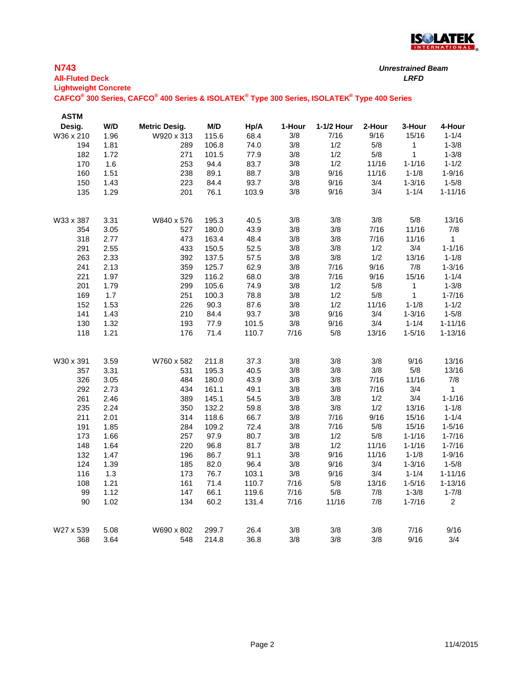

| <b>N743</b> | <b>All-Fluted Deck</b><br><b>Lightweight Concrete</b> |                                                                                             |       |       |        | <b>Unrestrained Beam</b><br><b>LRFD</b> |        |            |                |
|-------------|-------------------------------------------------------|---------------------------------------------------------------------------------------------|-------|-------|--------|-----------------------------------------|--------|------------|----------------|
|             |                                                       | CAFCO® 300 Series, CAFCO® 400 Series & ISOLATEK® Type 300 Series, ISOLATEK® Type 400 Series |       |       |        |                                         |        |            |                |
| <b>ASTM</b> |                                                       |                                                                                             |       |       |        |                                         |        |            |                |
| Desig.      | W/D                                                   | <b>Metric Desig.</b>                                                                        | M/D   | Hp/A  | 1-Hour | 1-1/2 Hour                              | 2-Hour | 3-Hour     | 4-Hour         |
| W36 x 210   | 1.96                                                  | W920 x 313                                                                                  | 115.6 | 68.4  | 3/8    | 7/16                                    | 9/16   | 15/16      | $1 - 1/4$      |
| 194         | 1.81                                                  | 289                                                                                         | 106.8 | 74.0  | 3/8    | 1/2                                     | 5/8    | 1          | $1 - 3/8$      |
| 182         | 1.72                                                  | 271                                                                                         | 101.5 | 77.9  | 3/8    | 1/2                                     | 5/8    | 1          | $1 - 3/8$      |
| 170         | 1.6                                                   | 253                                                                                         | 94.4  | 83.7  | 3/8    | 1/2                                     | 11/16  | $1 - 1/16$ | $1 - 1/2$      |
| 160         | 1.51                                                  | 238                                                                                         | 89.1  | 88.7  | 3/8    | 9/16                                    | 11/16  | $1 - 1/8$  | $1 - 9/16$     |
| 150         | 1.43                                                  | 223                                                                                         | 84.4  | 93.7  | 3/8    | 9/16                                    | 3/4    | $1 - 3/16$ | $1 - 5/8$      |
| 135         | 1.29                                                  | 201                                                                                         | 76.1  | 103.9 | 3/8    | 9/16                                    | 3/4    | $1 - 1/4$  | $1 - 11/16$    |
| W33 x 387   | 3.31                                                  | W840 x 576                                                                                  | 195.3 | 40.5  | 3/8    | 3/8                                     | 3/8    | $5/8$      | 13/16          |
| 354         | 3.05                                                  | 527                                                                                         | 180.0 | 43.9  | 3/8    | 3/8                                     | 7/16   | 11/16      | 7/8            |
| 318         | 2.77                                                  | 473                                                                                         | 163.4 | 48.4  | 3/8    | 3/8                                     | 7/16   | 11/16      | 1              |
| 291         | 2.55                                                  | 433                                                                                         | 150.5 | 52.5  | 3/8    | 3/8                                     | 1/2    | 3/4        | $1 - 1/16$     |
| 263         | 2.33                                                  | 392                                                                                         | 137.5 | 57.5  | 3/8    | 3/8                                     | 1/2    | 13/16      | $1 - 1/8$      |
| 241         | 2.13                                                  | 359                                                                                         | 125.7 | 62.9  | 3/8    | 7/16                                    | 9/16   | 7/8        | $1 - 3/16$     |
| 221         | 1.97                                                  | 329                                                                                         | 116.2 | 68.0  | 3/8    | 7/16                                    | 9/16   | 15/16      | $1 - 1/4$      |
| 201         | 1.79                                                  | 299                                                                                         | 105.6 | 74.9  | 3/8    | 1/2                                     | 5/8    | 1          | $1 - 3/8$      |
| 169         | 1.7                                                   | 251                                                                                         | 100.3 | 78.8  | 3/8    | 1/2                                     | $5/8$  | 1          | $1 - 7/16$     |
| 152         | 1.53                                                  | 226                                                                                         | 90.3  | 87.6  | 3/8    | 1/2                                     | 11/16  | $1 - 1/8$  | $1 - 1/2$      |
| 141         | 1.43                                                  | 210                                                                                         | 84.4  | 93.7  | 3/8    | 9/16                                    | 3/4    | $1 - 3/16$ | $1 - 5/8$      |
| 130         | 1.32                                                  | 193                                                                                         | 77.9  | 101.5 | $3/8$  | 9/16                                    | 3/4    | $1 - 1/4$  | $1 - 11/16$    |
| 118         | 1.21                                                  | 176                                                                                         | 71.4  | 110.7 | 7/16   | 5/8                                     | 13/16  | $1 - 5/16$ | $1 - 13/16$    |
| W30 x 391   | 3.59                                                  | W760 x 582                                                                                  | 211.8 | 37.3  | 3/8    | 3/8                                     | 3/8    | 9/16       | 13/16          |
| 357         | 3.31                                                  | 531                                                                                         | 195.3 | 40.5  | 3/8    | 3/8                                     | 3/8    | $5/8$      | 13/16          |
| 326         | 3.05                                                  | 484                                                                                         | 180.0 | 43.9  | 3/8    | 3/8                                     | 7/16   | 11/16      | 7/8            |
| 292         | 2.73                                                  | 434                                                                                         | 161.1 | 49.1  | 3/8    | 3/8                                     | 7/16   | 3/4        | 1              |
| 261         | 2.46                                                  | 389                                                                                         | 145.1 | 54.5  | 3/8    | 3/8                                     | 1/2    | 3/4        | $1 - 1/16$     |
| 235         | 2.24                                                  | 350                                                                                         | 132.2 | 59.8  | 3/8    | $3/8$                                   | 1/2    | 13/16      | $1 - 1/8$      |
| 211         | 2.01                                                  | 314                                                                                         | 118.6 | 66.7  | 3/8    | 7/16                                    | 9/16   | 15/16      | $1 - 1/4$      |
| 191         | 1.85                                                  | 284                                                                                         | 109.2 | 72.4  | 3/8    | 7/16                                    | $5/8$  | 15/16      | $1 - 5/16$     |
| 173         | 1.66                                                  | 257                                                                                         | 97.9  | 80.7  | 3/8    | 1/2                                     | 5/8    | $1 - 1/16$ | $1 - 7/16$     |
| 148         | 1.64                                                  | 220                                                                                         | 96.8  | 81.7  | 3/8    | 1/2                                     | 11/16  | $1 - 1/16$ | 1-7/16         |
| 132         | 1.47                                                  | 196                                                                                         | 86.7  | 91.1  | 3/8    | 9/16                                    | 11/16  | $1 - 1/8$  | $1 - 9/16$     |
| 124         | 1.39                                                  | 185                                                                                         | 82.0  | 96.4  | 3/8    | 9/16                                    | 3/4    | $1 - 3/16$ | $1 - 5/8$      |
| 116         | 1.3                                                   | 173                                                                                         | 76.7  | 103.1 | $3/8$  | 9/16                                    | 3/4    | $1 - 1/4$  | $1 - 11/16$    |
| 108         | 1.21                                                  | 161                                                                                         | 71.4  | 110.7 | 7/16   | 5/8                                     | 13/16  | $1 - 5/16$ | $1 - 13/16$    |
| 99          | 1.12                                                  | 147                                                                                         | 66.1  | 119.6 | 7/16   | 5/8                                     | 7/8    | $1 - 3/8$  | $1 - 7/8$      |
| 90          | 1.02                                                  | 134                                                                                         | 60.2  | 131.4 | 7/16   | 11/16                                   | 7/8    | $1 - 7/16$ | $\overline{c}$ |
| W27 x 539   | 5.08                                                  | W690 x 802                                                                                  | 299.7 | 26.4  | $3/8$  | 3/8                                     | 3/8    | 7/16       | 9/16           |
| 368         | 3.64                                                  | 548                                                                                         | 214.8 | 36.8  | 3/8    | $3/8$                                   | 3/8    | 9/16       | 3/4            |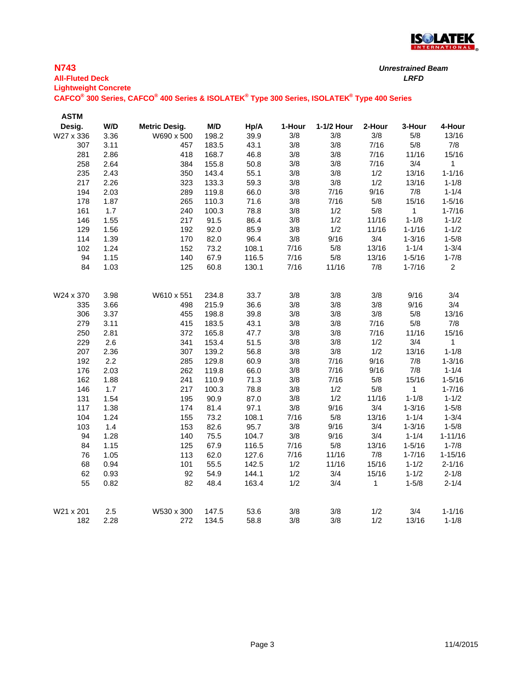

*Unrestrained Beam*

| <b>All-Fluted Deck</b>      |      |                                                                                             |       |       |        |            |        | <b>LRFD</b> |                |
|-----------------------------|------|---------------------------------------------------------------------------------------------|-------|-------|--------|------------|--------|-------------|----------------|
| <b>Lightweight Concrete</b> |      |                                                                                             |       |       |        |            |        |             |                |
|                             |      | CAFCO® 300 Series, CAFCO® 400 Series & ISOLATEK® Type 300 Series, ISOLATEK® Type 400 Series |       |       |        |            |        |             |                |
| <b>ASTM</b>                 |      |                                                                                             |       |       |        |            |        |             |                |
| Desig.                      | W/D  | Metric Desig.                                                                               | M/D   | Hp/A  | 1-Hour | 1-1/2 Hour | 2-Hour | 3-Hour      | 4-Hour         |
| W27 x 336                   | 3.36 | W690 x 500                                                                                  | 198.2 | 39.9  | 3/8    | 3/8        | 3/8    | 5/8         | 13/16          |
| 307                         | 3.11 | 457                                                                                         | 183.5 | 43.1  | 3/8    | 3/8        | 7/16   | $5/8$       | $7/8$          |
| 281                         | 2.86 | 418                                                                                         | 168.7 | 46.8  | 3/8    | 3/8        | 7/16   | 11/16       | 15/16          |
| 258                         | 2.64 | 384                                                                                         | 155.8 | 50.8  | 3/8    | $3/8$      | 7/16   | 3/4         | $\mathbf 1$    |
| 235                         | 2.43 | 350                                                                                         | 143.4 | 55.1  | 3/8    | $3/8$      | 1/2    | 13/16       | $1 - 1/16$     |
| 217                         | 2.26 | 323                                                                                         | 133.3 | 59.3  | 3/8    | $3/8$      | 1/2    | 13/16       | $1 - 1/8$      |
| 194                         | 2.03 | 289                                                                                         | 119.8 | 66.0  | 3/8    | 7/16       | 9/16   | 7/8         | $1 - 1/4$      |
| 178                         | 1.87 | 265                                                                                         | 110.3 | 71.6  | 3/8    | 7/16       | $5/8$  | 15/16       | $1 - 5/16$     |
| 161                         | 1.7  | 240                                                                                         | 100.3 | 78.8  | 3/8    | 1/2        | 5/8    | $\mathbf 1$ | $1 - 7/16$     |
| 146                         | 1.55 | 217                                                                                         | 91.5  | 86.4  | 3/8    | 1/2        | 11/16  | $1 - 1/8$   | $1 - 1/2$      |
| 129                         | 1.56 | 192                                                                                         | 92.0  | 85.9  | 3/8    | 1/2        | 11/16  | $1 - 1/16$  | $1 - 1/2$      |
| 114                         | 1.39 | 170                                                                                         | 82.0  | 96.4  | 3/8    | 9/16       | 3/4    | $1 - 3/16$  | $1 - 5/8$      |
| 102                         | 1.24 | 152                                                                                         | 73.2  | 108.1 | 7/16   | $5/8$      | 13/16  | $1 - 1/4$   | $1 - 3/4$      |
| 94                          | 1.15 | 140                                                                                         | 67.9  | 116.5 | 7/16   | $5/8$      | 13/16  | $1 - 5/16$  | $1 - 7/8$      |
| 84                          | 1.03 | 125                                                                                         | 60.8  | 130.1 | 7/16   | 11/16      | 7/8    | $1 - 7/16$  | $\overline{2}$ |
|                             |      |                                                                                             |       |       |        |            |        |             |                |
|                             |      |                                                                                             |       |       |        |            |        |             |                |
| W24 x 370                   | 3.98 | W610 x 551                                                                                  | 234.8 | 33.7  | 3/8    | 3/8        | 3/8    | 9/16        | 3/4            |
| 335                         | 3.66 | 498                                                                                         | 215.9 | 36.6  | 3/8    | 3/8        | 3/8    | 9/16        | 3/4            |
| 306                         | 3.37 | 455                                                                                         | 198.8 | 39.8  | 3/8    | 3/8        | 3/8    | $5/8$       | 13/16          |
| 279                         | 3.11 | 415                                                                                         | 183.5 | 43.1  | 3/8    | $3/8$      | 7/16   | 5/8         | 7/8            |
| 250                         | 2.81 | 372                                                                                         | 165.8 | 47.7  | 3/8    | 3/8        | 7/16   | 11/16       | 15/16          |
| 229                         | 2.6  | 341                                                                                         | 153.4 | 51.5  | 3/8    | 3/8        | 1/2    | 3/4         | $\mathbf{1}$   |
| 207                         | 2.36 | 307                                                                                         | 139.2 | 56.8  | 3/8    | 3/8        | 1/2    | 13/16       | $1 - 1/8$      |
| 192                         | 2.2  | 285                                                                                         | 129.8 | 60.9  | 3/8    | 7/16       | 9/16   | 7/8         | $1 - 3/16$     |
| 176                         | 2.03 | 262                                                                                         | 119.8 | 66.0  | 3/8    | 7/16       | 9/16   | 7/8         | $1 - 1/4$      |
| 162                         | 1.88 | 241                                                                                         | 110.9 | 71.3  | 3/8    | 7/16       | $5/8$  | 15/16       | $1 - 5/16$     |
| 146                         | 1.7  | 217                                                                                         | 100.3 | 78.8  | 3/8    | 1/2        | 5/8    | 1           | $1 - 7/16$     |
| 131                         | 1.54 | 195                                                                                         | 90.9  | 87.0  | 3/8    | 1/2        | 11/16  | $1 - 1/8$   | $1 - 1/2$      |
| 117                         | 1.38 | 174                                                                                         | 81.4  | 97.1  | 3/8    | 9/16       | 3/4    | $1 - 3/16$  | $1 - 5/8$      |
| 104                         | 1.24 | 155                                                                                         | 73.2  | 108.1 | 7/16   | $5/8$      | 13/16  | $1 - 1/4$   | $1 - 3/4$      |
| 103                         | 1.4  | 153                                                                                         | 82.6  | 95.7  | 3/8    | 9/16       | 3/4    | $1 - 3/16$  | $1 - 5/8$      |
| 94                          | 1.28 | 140                                                                                         | 75.5  | 104.7 | 3/8    | 9/16       | 3/4    | $1 - 1/4$   | $1 - 11/16$    |
| 84                          | 1.15 | 125                                                                                         | 67.9  | 116.5 | 7/16   | $5/8$      | 13/16  | $1 - 5/16$  | $1 - 7/8$      |
| 76                          | 1.05 | 113                                                                                         | 62.0  | 127.6 | 7/16   | 11/16      | $7/8$  | $1 - 7/16$  | 1-15/16        |
| 68                          | 0.94 | 101                                                                                         | 55.5  | 142.5 | 1/2    | 11/16      | 15/16  | $1 - 1/2$   | $2 - 1/16$     |
| 62                          | 0.93 | 92                                                                                          | 54.9  | 144.1 | 1/2    | 3/4        | 15/16  | $1 - 1/2$   | $2 - 1/8$      |
| 55                          | 0.82 | 82                                                                                          | 48.4  | 163.4 | 1/2    | 3/4        | 1      | $1 - 5/8$   | $2 - 1/4$      |
|                             |      |                                                                                             |       |       |        |            |        |             |                |
|                             |      |                                                                                             |       |       |        |            |        |             |                |
| W21 x 201                   | 2.5  | W530 x 300                                                                                  | 147.5 | 53.6  | 3/8    | 3/8        | 1/2    | 3/4         | $1 - 1/16$     |
| 182                         | 2.28 | 272                                                                                         | 134.5 | 58.8  | 3/8    | 3/8        | 1/2    | 13/16       | $1 - 1/8$      |

**N743**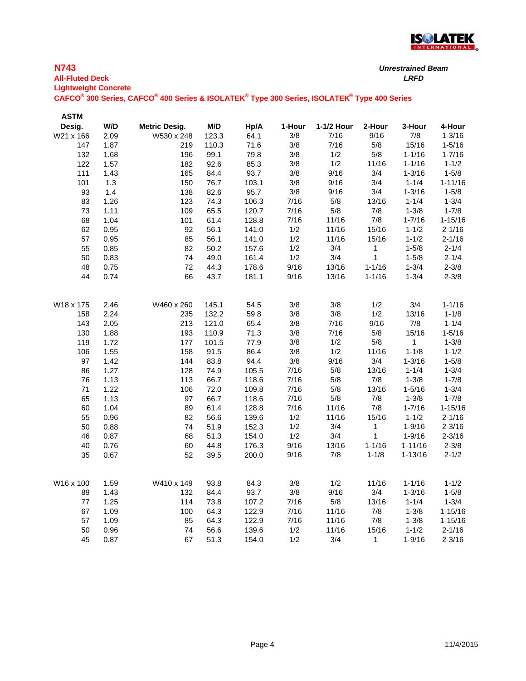

| <b>N743</b><br><b>All-Fluted Deck</b> |     |                                                                                                                                             |            | <b>Unrestrained Beam</b><br>LRFD |        |            |        |        |        |
|---------------------------------------|-----|---------------------------------------------------------------------------------------------------------------------------------------------|------------|----------------------------------|--------|------------|--------|--------|--------|
| <b>Lightweight Concrete</b>           |     | CAFCO <sup>®</sup> 300 Series, CAFCO <sup>®</sup> 400 Series & ISOLATEK <sup>®</sup> Type 300 Series, ISOLATEK <sup>®</sup> Type 400 Series |            |                                  |        |            |        |        |        |
| <b>ASTM</b><br>Desig.                 | W/D | <b>Metric Desig.</b>                                                                                                                        | <b>M/D</b> | H <sub>D</sub> /A                | 1-Hour | 1-1/2 Hour | 2-Hour | 3-Hour | 4-Hour |

| W21 x 166 | 2.09 | W530 x 248 | 123.3 | 64.1  | $3/8$ | 7/16  | 9/16             | 7/8            | $1 - 3/16$  |
|-----------|------|------------|-------|-------|-------|-------|------------------|----------------|-------------|
| 147       | 1.87 | 219        | 110.3 | 71.6  | 3/8   | 7/16  | 5/8              | 15/16          | $1 - 5/16$  |
| 132       | 1.68 | 196        | 99.1  | 79.8  | 3/8   | 1/2   | 5/8              | $1 - 1/16$     | $1 - 7/16$  |
| 122       | 1.57 | 182        | 92.6  | 85.3  | 3/8   | 1/2   | 11/16            | $1 - 1/16$     | $1 - 1/2$   |
| 111       | 1.43 | 165        | 84.4  | 93.7  | 3/8   | 9/16  | 3/4              | $1 - 3/16$     | $1 - 5/8$   |
| 101       | 1.3  | 150        | 76.7  | 103.1 | 3/8   | 9/16  | 3/4              | $1 - 1/4$      | $1 - 11/16$ |
| 93        | 1.4  | 138        | 82.6  | 95.7  | 3/8   | 9/16  | 3/4              | $1 - 3/16$     | $1 - 5/8$   |
| 83        | 1.26 | 123        | 74.3  | 106.3 | 7/16  | 5/8   | 13/16            | $1 - 1/4$      | $1 - 3/4$   |
| 73        | 1.11 | 109        | 65.5  | 120.7 | 7/16  | 5/8   | 7/8              | $1 - 3/8$      | $1 - 7/8$   |
| 68        | 1.04 | 101        | 61.4  | 128.8 | 7/16  | 11/16 | 7/8              | $1 - 7/16$     | $1 - 15/16$ |
| 62        | 0.95 | 92         | 56.1  | 141.0 | 1/2   | 11/16 | 15/16            | $1 - 1/2$      | $2 - 1/16$  |
| 57        | 0.95 | 85         | 56.1  | 141.0 | 1/2   | 11/16 | 15/16            | $1 - 1/2$      | $2 - 1/16$  |
| 55        | 0.85 | 82         | 50.2  | 157.6 | 1/2   | 3/4   | $\overline{1}$   | $1 - 5/8$      | $2 - 1/4$   |
| 50        | 0.83 | 74         | 49.0  | 161.4 | 1/2   | 3/4   | $\overline{1}$   | $1 - 5/8$      | $2 - 1/4$   |
| 48        | 0.75 | 72         | 44.3  | 178.6 | 9/16  | 13/16 | $1 - 1/16$       | $1 - 3/4$      | $2 - 3/8$   |
| 44        | 0.74 | 66         | 43.7  | 181.1 | 9/16  | 13/16 | $1 - 1/16$       | $1 - 3/4$      | $2 - 3/8$   |
|           |      |            |       |       |       |       |                  |                |             |
| W18 x 175 | 2.46 | W460 x 260 | 145.1 | 54.5  | $3/8$ | $3/8$ | 1/2              | 3/4            | $1 - 1/16$  |
| 158       | 2.24 | 235        | 132.2 | 59.8  | 3/8   | 3/8   | 1/2              | 13/16          | $1 - 1/8$   |
| 143       | 2.05 | 213        | 121.0 | 65.4  | 3/8   | 7/16  | 9/16             | 7/8            | $1 - 1/4$   |
| 130       | 1.88 | 193        | 110.9 | 71.3  | 3/8   | 7/16  | 5/8              | 15/16          | $1 - 5/16$  |
| 119       | 1.72 | 177        | 101.5 | 77.9  | 3/8   | 1/2   | 5/8              | $\overline{1}$ | $1 - 3/8$   |
| 106       | 1.55 | 158        | 91.5  | 86.4  | 3/8   | 1/2   | 11/16            | $1 - 1/8$      | $1 - 1/2$   |
| 97        | 1.42 | 144        | 83.8  | 94.4  | 3/8   | 9/16  | 3/4              | $1 - 3/16$     | $1 - 5/8$   |
| 86        | 1.27 | 128        | 74.9  | 105.5 | 7/16  | 5/8   | 13/16            | $1 - 1/4$      | $1 - 3/4$   |
| 76        | 1.13 | 113        | 66.7  | 118.6 | 7/16  | $5/8$ | 7/8              | $1 - 3/8$      | $1 - 7/8$   |
| 71        | 1.22 | 106        | 72.0  | 109.8 | 7/16  | $5/8$ | 13/16            | $1 - 5/16$     | $1 - 3/4$   |
| 65        | 1.13 | 97         | 66.7  | 118.6 | 7/16  | 5/8   | 7/8              | $1 - 3/8$      | $1 - 7/8$   |
| 60        | 1.04 | 89         | 61.4  | 128.8 | 7/16  | 11/16 | 7/8              | $1 - 7/16$     | $1 - 15/16$ |
| 55        | 0.96 | 82         | 56.6  | 139.6 | 1/2   | 11/16 | 15/16            | $1 - 1/2$      | $2 - 1/16$  |
| 50        | 0.88 | 74         | 51.9  | 152.3 | 1/2   | 3/4   | $\blacksquare$ 1 | $1 - 9/16$     | $2 - 3/16$  |
| 46        | 0.87 | 68         | 51.3  | 154.0 | 1/2   | 3/4   | $\sim$ 1         | $1 - 9/16$     | $2 - 3/16$  |
| 40        | 0.76 | 60         | 44.8  | 176.3 | 9/16  | 13/16 | $1 - 1/16$       | $1 - 11/16$    | $2 - 3/8$   |
| 35        | 0.67 | 52         | 39.5  | 200.0 | 9/16  | 7/8   | $1 - 1/8$        | $1 - 13/16$    | $2 - 1/2$   |
| W16 x 100 | 1.59 | W410 x 149 | 93.8  | 84.3  | 3/8   | 1/2   | 11/16            | $1 - 1/16$     | $1 - 1/2$   |
| 89        | 1.43 | 132        | 84.4  | 93.7  | 3/8   | 9/16  | 3/4              | $1 - 3/16$     | $1 - 5/8$   |
| 77        | 1.25 | 114        | 73.8  | 107.2 | 7/16  | 5/8   | 13/16            | $1 - 1/4$      | $1 - 3/4$   |
| 67        | 1.09 | 100        | 64.3  | 122.9 | 7/16  | 11/16 | 7/8              | $1 - 3/8$      | $1 - 15/16$ |
| 57        | 1.09 | 85         | 64.3  | 122.9 | 7/16  | 11/16 | 7/8              | $1 - 3/8$      | $1 - 15/16$ |
| 50        | 0.96 | 74         | 56.6  | 139.6 | 1/2   | 11/16 | 15/16            | $1 - 1/2$      | $2 - 1/16$  |
| 45        | 0.87 | 67         | 51.3  |       | 1/2   | 3/4   | $\mathbf{1}$     | $1 - 9/16$     | $2 - 3/16$  |
|           |      |            |       | 154.0 |       |       |                  |                |             |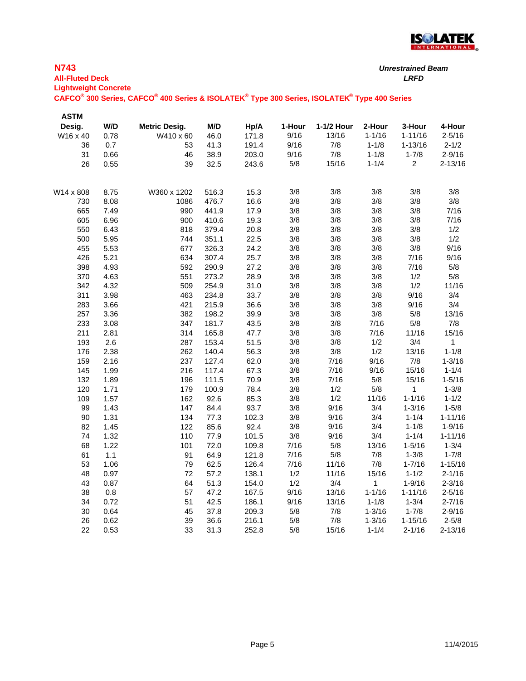

| <b>All-Fluted Deck</b><br><b>Lightweight Concrete</b> |      | CAFCO® 300 Series, CAFCO® 400 Series & ISOLATEK® Type 300 Series, ISOLATEK® Type 400 Series |       |       |        |            |            | <b>LRFD</b>             |             |
|-------------------------------------------------------|------|---------------------------------------------------------------------------------------------|-------|-------|--------|------------|------------|-------------------------|-------------|
| <b>ASTM</b>                                           |      |                                                                                             |       |       |        |            |            |                         |             |
| Desig.                                                | W/D  | Metric Desig.                                                                               | M/D   | Hp/A  | 1-Hour | 1-1/2 Hour | 2-Hour     | 3-Hour                  | 4-Hour      |
| W16 x 40                                              | 0.78 | W410 x 60                                                                                   | 46.0  | 171.8 | 9/16   | 13/16      | $1 - 1/16$ | $1 - 11/16$             | $2 - 5/16$  |
| 36                                                    | 0.7  | 53                                                                                          | 41.3  | 191.4 | 9/16   | 7/8        | $1 - 1/8$  | $1 - 13/16$             | $2 - 1/2$   |
| 31                                                    | 0.66 | 46                                                                                          | 38.9  | 203.0 | 9/16   | 7/8        | $1 - 1/8$  | $1 - 7/8$               | $2 - 9/16$  |
| 26                                                    | 0.55 | 39                                                                                          | 32.5  | 243.6 | 5/8    | 15/16      | $1 - 1/4$  | $\overline{\mathbf{c}}$ | $2 - 13/16$ |
| W14 x 808                                             | 8.75 | W360 x 1202                                                                                 | 516.3 | 15.3  | 3/8    | 3/8        | 3/8        | 3/8                     | 3/8         |
| 730                                                   | 8.08 | 1086                                                                                        | 476.7 | 16.6  | 3/8    | 3/8        | 3/8        | $3/8$                   | $3/8$       |
| 665                                                   | 7.49 | 990                                                                                         | 441.9 | 17.9  | 3/8    | 3/8        | 3/8        | 3/8                     | 7/16        |
| 605                                                   | 6.96 | 900                                                                                         | 410.6 | 19.3  | 3/8    | 3/8        | 3/8        | 3/8                     | 7/16        |
| 550                                                   | 6.43 | 818                                                                                         | 379.4 | 20.8  | 3/8    | 3/8        | 3/8        | 3/8                     | 1/2         |
| 500                                                   | 5.95 | 744                                                                                         | 351.1 | 22.5  | 3/8    | 3/8        | 3/8        | 3/8                     | 1/2         |
| 455                                                   | 5.53 | 677                                                                                         | 326.3 | 24.2  | 3/8    | 3/8        | $3/8$      | 3/8                     | 9/16        |
| 426                                                   | 5.21 | 634                                                                                         | 307.4 | 25.7  | 3/8    | 3/8        | 3/8        | 7/16                    | 9/16        |
| 398                                                   | 4.93 | 592                                                                                         | 290.9 | 27.2  | 3/8    | 3/8        | $3/8$      | 7/16                    | 5/8         |
| 370                                                   | 4.63 | 551                                                                                         | 273.2 | 28.9  | 3/8    | 3/8        | $3/8$      | 1/2                     | 5/8         |
| 342                                                   | 4.32 | 509                                                                                         | 254.9 | 31.0  | 3/8    | 3/8        | 3/8        | 1/2                     | 11/16       |
| 311                                                   | 3.98 | 463                                                                                         | 234.8 | 33.7  | 3/8    | 3/8        | $3/8$      | 9/16                    | 3/4         |
| 283                                                   | 3.66 | 421                                                                                         | 215.9 | 36.6  | 3/8    | 3/8        | 3/8        | 9/16                    | 3/4         |
| 257                                                   | 3.36 | 382                                                                                         | 198.2 | 39.9  | 3/8    | 3/8        | 3/8        | 5/8                     | 13/16       |
| 233                                                   | 3.08 | 347                                                                                         | 181.7 | 43.5  | 3/8    | 3/8        | 7/16       | $5/8$                   | 7/8         |
| 211                                                   | 2.81 | 314                                                                                         | 165.8 | 47.7  | 3/8    | 3/8        | 7/16       | 11/16                   | 15/16       |
| 193                                                   | 2.6  | 287                                                                                         | 153.4 | 51.5  | 3/8    | 3/8        | 1/2        | 3/4                     | 1           |
| 176                                                   | 2.38 | 262                                                                                         | 140.4 | 56.3  | 3/8    | $3/8$      | 1/2        | 13/16                   | $1 - 1/8$   |
| 159                                                   | 2.16 | 237                                                                                         | 127.4 | 62.0  | 3/8    | 7/16       | 9/16       | 7/8                     | $1 - 3/16$  |
| 145                                                   | 1.99 | 216                                                                                         | 117.4 | 67.3  | 3/8    | 7/16       | 9/16       | 15/16                   | $1 - 1/4$   |
| 132                                                   | 1.89 | 196                                                                                         | 111.5 | 70.9  | 3/8    | 7/16       | 5/8        | 15/16                   | $1 - 5/16$  |
| 120                                                   | 1.71 | 179                                                                                         | 100.9 | 78.4  | 3/8    | 1/2        | 5/8        | 1                       | $1 - 3/8$   |
| 109                                                   | 1.57 | 162                                                                                         | 92.6  | 85.3  | 3/8    | 1/2        | 11/16      | $1 - 1/16$              | $1 - 1/2$   |
| 99                                                    | 1.43 | 147                                                                                         | 84.4  | 93.7  | 3/8    | 9/16       | 3/4        | $1 - 3/16$              | $1 - 5/8$   |
| 90                                                    | 1.31 | 134                                                                                         | 77.3  | 102.3 | 3/8    | 9/16       | 3/4        | $1 - 1/4$               | $1 - 11/16$ |
| 82                                                    | 1.45 | 122                                                                                         | 85.6  | 92.4  | 3/8    | 9/16       | 3/4        | $1 - 1/8$               | $1 - 9/16$  |
| 74                                                    | 1.32 | 110                                                                                         | 77.9  | 101.5 | 3/8    | 9/16       | 3/4        | $1 - 1/4$               | $1 - 11/16$ |
| 68                                                    | 1.22 | 101                                                                                         | 72.0  | 109.8 | 7/16   | 5/8        | 13/16      | $1 - 5/16$              | $1 - 3/4$   |
| 61                                                    | 1.1  | 91                                                                                          | 64.9  | 121.8 | 7/16   | 5/8        | 7/8        | $1 - 3/8$               | $1 - 7/8$   |
| 53                                                    | 1.06 | 79                                                                                          | 62.5  | 126.4 | 7/16   | 11/16      | 7/8        | $1 - 7/16$              | $1 - 15/16$ |
| 48                                                    | 0.97 | 72                                                                                          | 57.2  | 138.1 | 1/2    | 11/16      | 15/16      | $1 - 1/2$               | $2 - 1/16$  |
| 43                                                    | 0.87 | 64                                                                                          | 51.3  | 154.0 | 1/2    | 3/4        | 1          | $1 - 9/16$              | $2 - 3/16$  |
| 38                                                    | 0.8  | 57                                                                                          | 47.2  | 167.5 | 9/16   | 13/16      | $1 - 1/16$ | $1 - 11/16$             | $2 - 5/16$  |
| 34                                                    | 0.72 | 51                                                                                          | 42.5  | 186.1 | 9/16   | 13/16      | $1 - 1/8$  | $1 - 3/4$               | $2 - 7/16$  |
| 30                                                    | 0.64 | 45                                                                                          | 37.8  | 209.3 | 5/8    | 7/8        | $1 - 3/16$ | $1 - 7/8$               | $2 - 9/16$  |
| 26                                                    | 0.62 | 39                                                                                          | 36.6  | 216.1 | $5/8$  | 7/8        | $1 - 3/16$ | $1 - 15/16$             | $2 - 5/8$   |
| 22                                                    | 0.53 | 33                                                                                          | 31.3  | 252.8 | 5/8    | 15/16      | $1 - 1/4$  | $2 - 1/16$              | $2 - 13/16$ |

**N743**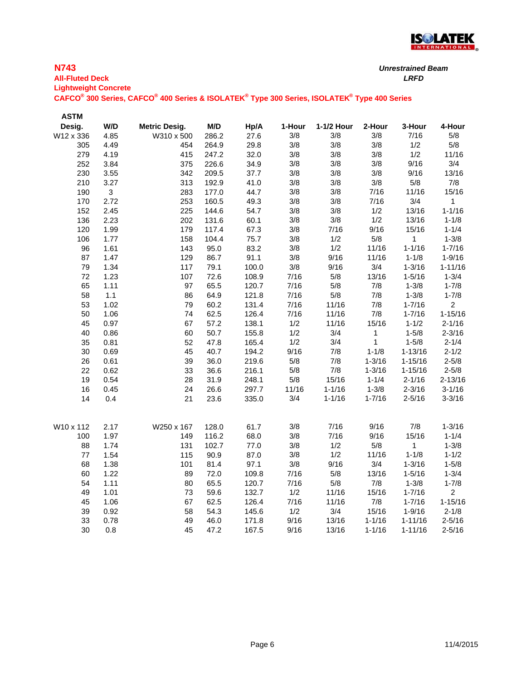

| <b>N743</b>                                                                                                                                 | <b>Unrestrained Beam</b> |
|---------------------------------------------------------------------------------------------------------------------------------------------|--------------------------|
| <b>All-Fluted Deck</b>                                                                                                                      | I RFD                    |
| <b>Lightweight Concrete</b>                                                                                                                 |                          |
| CAFCO <sup>®</sup> 300 Series, CAFCO <sup>®</sup> 400 Series & ISOLATEK <sup>®</sup> Type 300 Series, ISOLATEK <sup>®</sup> Type 400 Series |                          |

| <b>ASTM</b> |                           |                      |       |       |        |            |              |              |                |
|-------------|---------------------------|----------------------|-------|-------|--------|------------|--------------|--------------|----------------|
| Desig.      | W/D                       | <b>Metric Desig.</b> | M/D   | Hp/A  | 1-Hour | 1-1/2 Hour | 2-Hour       | 3-Hour       | 4-Hour         |
| W12 x 336   | 4.85                      | W310 x 500           | 286.2 | 27.6  | 3/8    | 3/8        | 3/8          | 7/16         | 5/8            |
| 305         | 4.49                      | 454                  | 264.9 | 29.8  | 3/8    | 3/8        | 3/8          | 1/2          | 5/8            |
| 279         | 4.19                      | 415                  | 247.2 | 32.0  | 3/8    | 3/8        | 3/8          | 1/2          | 11/16          |
| 252         | 3.84                      | 375                  | 226.6 | 34.9  | 3/8    | $3/8$      | $3/8$        | 9/16         | 3/4            |
| 230         | 3.55                      | 342                  | 209.5 | 37.7  | 3/8    | 3/8        | 3/8          | 9/16         | 13/16          |
| 210         | 3.27                      | 313                  | 192.9 | 41.0  | 3/8    | 3/8        | $3/8$        | $5/8$        | 7/8            |
| 190         | $\ensuremath{\mathsf{3}}$ | 283                  | 177.0 | 44.7  | 3/8    | 3/8        | 7/16         | 11/16        | 15/16          |
| 170         | 2.72                      | 253                  | 160.5 | 49.3  | 3/8    | 3/8        | 7/16         | 3/4          | $\mathbf{1}$   |
| 152         | 2.45                      | 225                  | 144.6 | 54.7  | 3/8    | 3/8        | 1/2          | 13/16        | $1 - 1/16$     |
| 136         | 2.23                      | 202                  | 131.6 | 60.1  | 3/8    | $3/8$      | 1/2          | 13/16        | $1 - 1/8$      |
| 120         | 1.99                      | 179                  | 117.4 | 67.3  | 3/8    | 7/16       | 9/16         | 15/16        | $1 - 1/4$      |
| 106         | 1.77                      | 158                  | 104.4 | 75.7  | 3/8    | 1/2        | $5/8$        | $\mathbf{1}$ | $1 - 3/8$      |
| 96          | 1.61                      | 143                  | 95.0  | 83.2  | 3/8    | 1/2        | 11/16        | $1 - 1/16$   | $1 - 7/16$     |
| 87          | 1.47                      | 129                  | 86.7  | 91.1  | 3/8    | 9/16       | 11/16        | $1 - 1/8$    | $1 - 9/16$     |
| 79          | 1.34                      | 117                  | 79.1  | 100.0 | 3/8    | 9/16       | 3/4          | $1 - 3/16$   | $1 - 11/16$    |
| 72          | 1.23                      | 107                  | 72.6  | 108.9 | 7/16   | $5/8$      | 13/16        | $1 - 5/16$   | $1 - 3/4$      |
| 65          | 1.11                      | 97                   | 65.5  | 120.7 | 7/16   | $5/8$      | 7/8          | $1 - 3/8$    | $1 - 7/8$      |
| 58          | 1.1                       | 86                   | 64.9  | 121.8 | 7/16   | $5/8$      | 7/8          | $1 - 3/8$    | $1 - 7/8$      |
| 53          | 1.02                      | 79                   | 60.2  | 131.4 | 7/16   | 11/16      | 7/8          | $1 - 7/16$   | $\mathbf{2}$   |
| 50          | 1.06                      | 74                   | 62.5  | 126.4 | 7/16   | 11/16      | 7/8          | $1 - 7/16$   | $1 - 15/16$    |
| 45          | 0.97                      | 67                   | 57.2  | 138.1 | 1/2    | 11/16      | 15/16        | $1 - 1/2$    | $2 - 1/16$     |
| 40          | 0.86                      | 60                   | 50.7  | 155.8 | 1/2    | 3/4        | 1            | $1 - 5/8$    | $2 - 3/16$     |
| 35          | 0.81                      | 52                   | 47.8  | 165.4 | 1/2    | 3/4        | $\mathbf{1}$ | $1 - 5/8$    | $2 - 1/4$      |
| 30          | 0.69                      | 45                   | 40.7  | 194.2 | 9/16   | $7/8$      | $1 - 1/8$    | $1 - 13/16$  | $2 - 1/2$      |
| 26          | 0.61                      | 39                   | 36.0  | 219.6 | 5/8    | 7/8        | $1 - 3/16$   | $1 - 15/16$  | $2 - 5/8$      |
| 22          | 0.62                      | 33                   | 36.6  | 216.1 | $5/8$  | $7/8$      | $1 - 3/16$   | $1 - 15/16$  | $2 - 5/8$      |
| 19          | 0.54                      | 28                   | 31.9  | 248.1 | 5/8    | 15/16      | $1 - 1/4$    | $2 - 1/16$   | $2 - 13/16$    |
| 16          | 0.45                      | 24                   | 26.6  | 297.7 | 11/16  | $1 - 1/16$ | $1 - 3/8$    | $2 - 3/16$   | $3 - 1/16$     |
| 14          | 0.4                       | 21                   | 23.6  | 335.0 | 3/4    | $1 - 1/16$ | $1 - 7/16$   | $2 - 5/16$   | $3 - 3/16$     |
| W10 x 112   | 2.17                      | W250 x 167           | 128.0 | 61.7  | 3/8    | 7/16       | 9/16         | $7/8$        | $1 - 3/16$     |
| 100         | 1.97                      | 149                  | 116.2 | 68.0  | 3/8    | 7/16       | 9/16         | 15/16        | $1 - 1/4$      |
| 88          | 1.74                      | 131                  | 102.7 | 77.0  | 3/8    | 1/2        | $5/8$        | 1            | $1 - 3/8$      |
| 77          | 1.54                      | 115                  | 90.9  | 87.0  | 3/8    | 1/2        | 11/16        | $1 - 1/8$    | $1 - 1/2$      |
| 68          | 1.38                      | 101                  | 81.4  | 97.1  | 3/8    | 9/16       | 3/4          | $1 - 3/16$   | $1 - 5/8$      |
| 60          | 1.22                      | 89                   | 72.0  | 109.8 | 7/16   | $5/8$      | 13/16        | $1 - 5/16$   | $1 - 3/4$      |
| 54          | 1.11                      | 80                   | 65.5  | 120.7 | 7/16   | $5/8$      | 7/8          | $1 - 3/8$    | $1 - 7/8$      |
| 49          | 1.01                      | 73                   | 59.6  | 132.7 | 1/2    | 11/16      | 15/16        | $1 - 7/16$   | $\overline{2}$ |
| 45          | 1.06                      | 67                   | 62.5  | 126.4 | 7/16   | 11/16      | $7/8$        | $1 - 7/16$   | $1 - 15/16$    |
| 39          | 0.92                      | 58                   | 54.3  | 145.6 | 1/2    | 3/4        | 15/16        | $1 - 9/16$   | $2 - 1/8$      |
| 33          | 0.78                      | 49                   | 46.0  | 171.8 | 9/16   | 13/16      | $1 - 1/16$   | $1 - 11/16$  | $2 - 5/16$     |
| 30          | 0.8                       | 45                   | 47.2  | 167.5 | 9/16   | 13/16      | $1 - 1/16$   | 1-11/16      | $2 - 5/16$     |